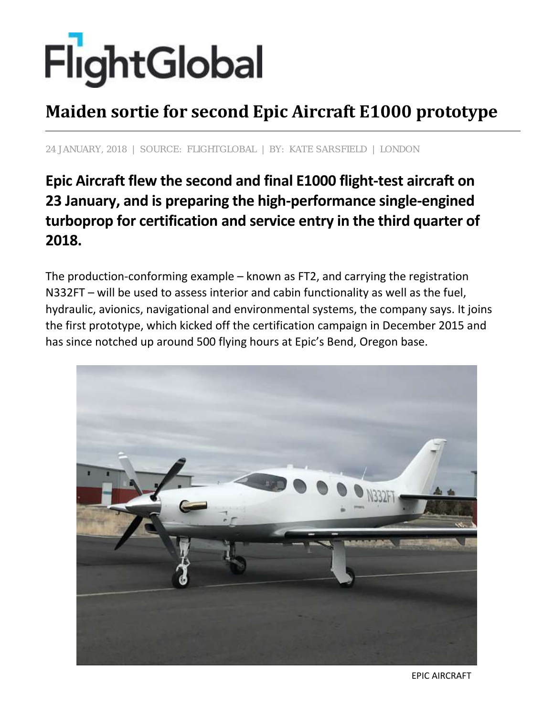## FlightGlobal

## **Maiden sortie for second Epic Aircraft E1000 prototype**

## **24 JANUARY, 2018 | SOURCE: FLIGHTGLOBAL | BY: KATE SARSFIELD | LONDON**

## **Epic Aircraft flew the second and final E1000 flight-test aircraft on 23 January, and is preparing the high-performance single-engined turboprop for certification and service entry in the third quarter of 2018.**

The production-conforming example – known as FT2, and carrying the registration N332FT – will be used to assess interior and cabin functionality as well as the fuel, hydraulic, avionics, navigational and environmental systems, the company says. It joins the first prototype, which kicked off the certification campaign in December 2015 and has since notched up around 500 flying hours at Epic's Bend, Oregon base.



EPIC AIRCRAFT